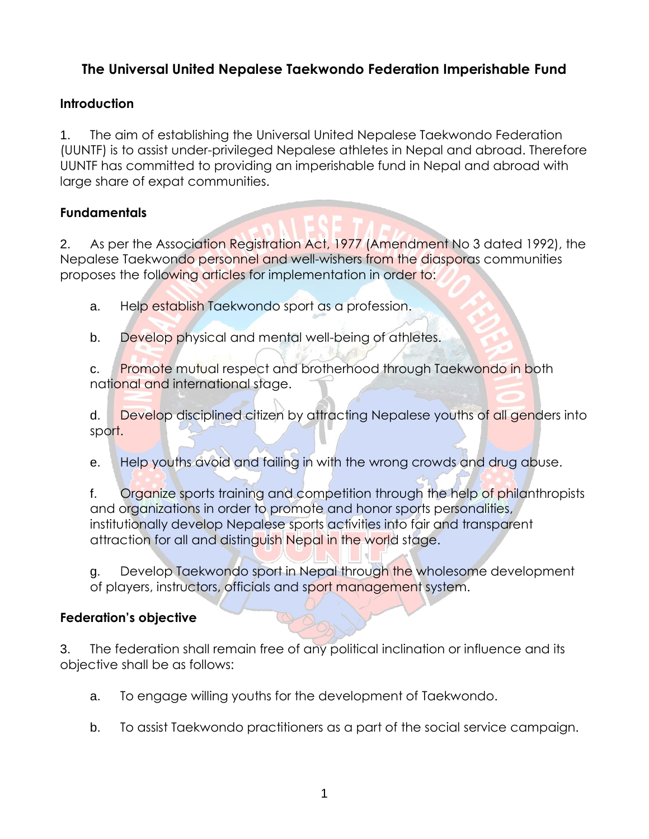# **The Universal United Nepalese Taekwondo Federation Imperishable Fund**

### **Introduction**

1. The aim of establishing the Universal United Nepalese Taekwondo Federation (UUNTF) is to assist under-privileged Nepalese athletes in Nepal and abroad. Therefore UUNTF has committed to providing an imperishable fund in Nepal and abroad with large share of expat communities.

### **Fundamentals**

2. As per the Association Registration Act, 1977 (Amendment No 3 dated 1992), the Nepalese Taekwondo personnel and well-wishers from the diasporas communities proposes the following articles for implementation in order to:

a. Help establish Taekwondo sport as a profession.

b. Develop physical and mental well-being of athletes.

c. **Promote mutual respect and brotherhood through Taekwondo in both** national and international stage.

d. Develop disciplined citizen by attracting Nepalese youths of all genders into sport.

e. Help youths avoid and failing in with the wrong crowds and drug abuse.

f. Organize sports training and competition through the help of philanthropists and organizations in order to promote and honor sports personalities, institutionally develop Nepalese sports activities into fair and transparent attraction for all and distinguish Nepal in the world stage.

g. Develop Taekwondo sport in Nepal through the wholesome development of players, instructors, officials and sport management system.

#### **Federation's objective**

3. The federation shall remain free of any political inclination or influence and its objective shall be as follows:

- a. To engage willing youths for the development of Taekwondo.
- b. To assist Taekwondo practitioners as a part of the social service campaign.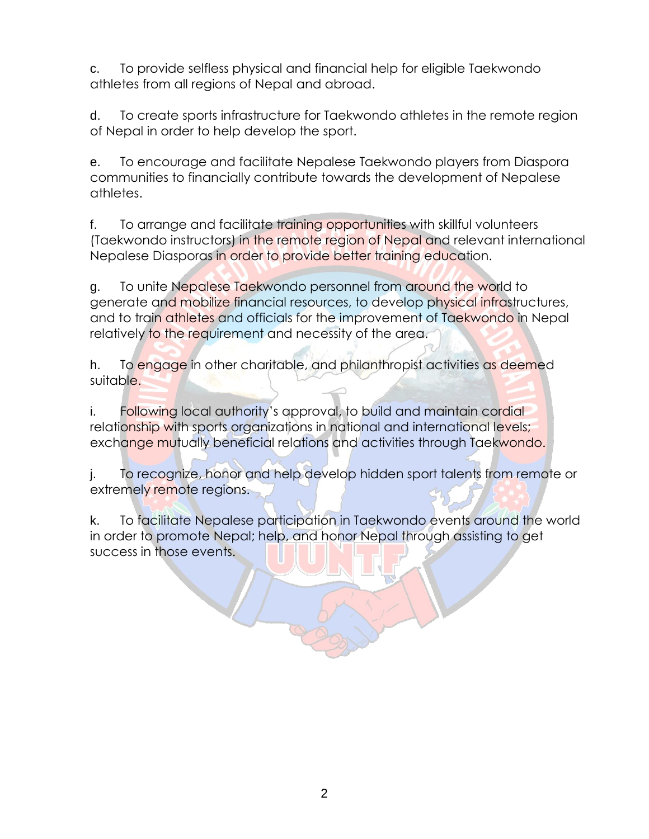c. To provide selfless physical and financial help for eligible Taekwondo athletes from all regions of Nepal and abroad.

d. To create sports infrastructure for Taekwondo athletes in the remote region of Nepal in order to help develop the sport.

e. To encourage and facilitate Nepalese Taekwondo players from Diaspora communities to financially contribute towards the development of Nepalese athletes.

f. To arrange and facilitate training opportunities with skillful volunteers (Taekwondo instructors) in the remote region of Nepal and relevant international Nepalese Diasporas in order to provide better training education.

g. To unite Nepalese Taekwondo personnel from around the world to generate and mobilize financial resources, to develop physical infrastructures, and to train athletes and officials for the improvement of Taekwondo in Nepal relatively to the requirement and necessity of the area.

h. To engage in other charitable, and philanthropist activities as deemed suitable.

i. Following local authority's approval, to build and maintain cordial relationship with sports organizations in national and international levels; exchange mutually beneficial relations and activities through Taekwondo.

j. To recognize, honor and help develop hidden sport talents from remote or extremely remote regions.

k. To facilitate Nepalese participation in Taekwondo events around the world in order to promote Nepal; help, and honor Nepal through assisting to get success in those events.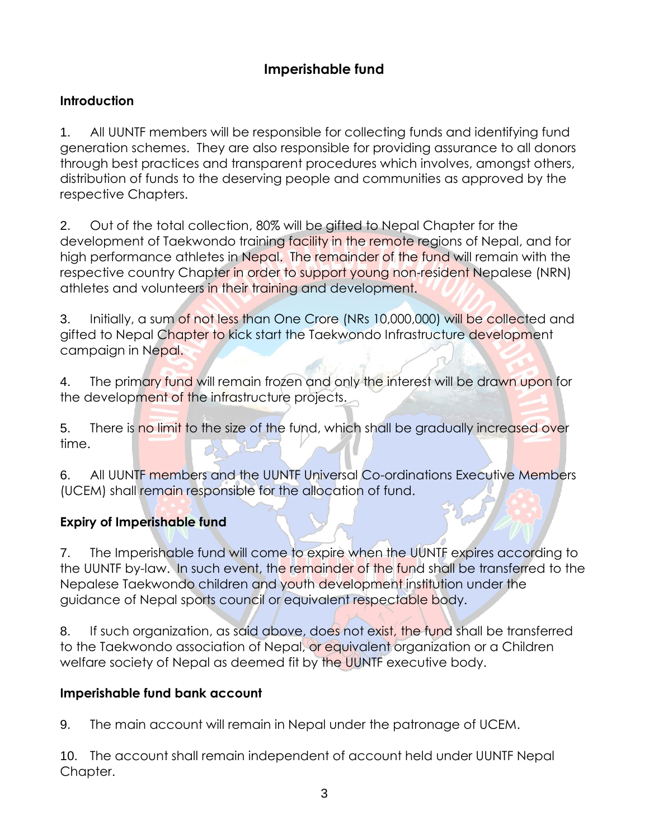# **Imperishable fund**

### **Introduction**

1. All UUNTF members will be responsible for collecting funds and identifying fund generation schemes. They are also responsible for providing assurance to all donors through best practices and transparent procedures which involves, amongst others, distribution of funds to the deserving people and communities as approved by the respective Chapters.

2. Out of the total collection, 80% will be gifted to Nepal Chapter for the development of Taekwondo training facility in the remote regions of Nepal, and for high performance athletes in Nepal. The remainder of the fund will remain with the respective country Chapter in order to support young non-resident Nepalese (NRN) athletes and volunteers in their training and development.

3. Initially, a sum of not less than One Crore (NRs 10,000,000) will be collected and gifted to Nepal Chapter to kick start the Taekwondo Infrastructure development campaign in Nepal.

4. The primary fund will remain frozen and only the interest will be drawn upon for the development of the infrastructure projects.

5. There is no limit to the size of the fund, which shall be gradually increased over time.

6. All UUNTF members and the UUNTF Universal Co-ordinations Executive Members (UCEM) shall remain responsible for the allocation of fund.

## **Expiry of Imperishable fund**

7. The Imperishable fund will come to expire when the UUNTF expires according to the UUNTF by-law. In such event, the remainder of the fund shall be transferred to the Nepalese Taekwondo children and youth development institution under the guidance of Nepal sports council or equivalent respectable body.

8. If such organization, as said above, does not exist, the fund shall be transferred to the Taekwondo association of Nepal, or equivalent organization or a Children welfare society of Nepal as deemed fit by the UUNTF executive body.

#### **Imperishable fund bank account**

9. The main account will remain in Nepal under the patronage of UCEM.

10. The account shall remain independent of account held under UUNTF Nepal Chapter.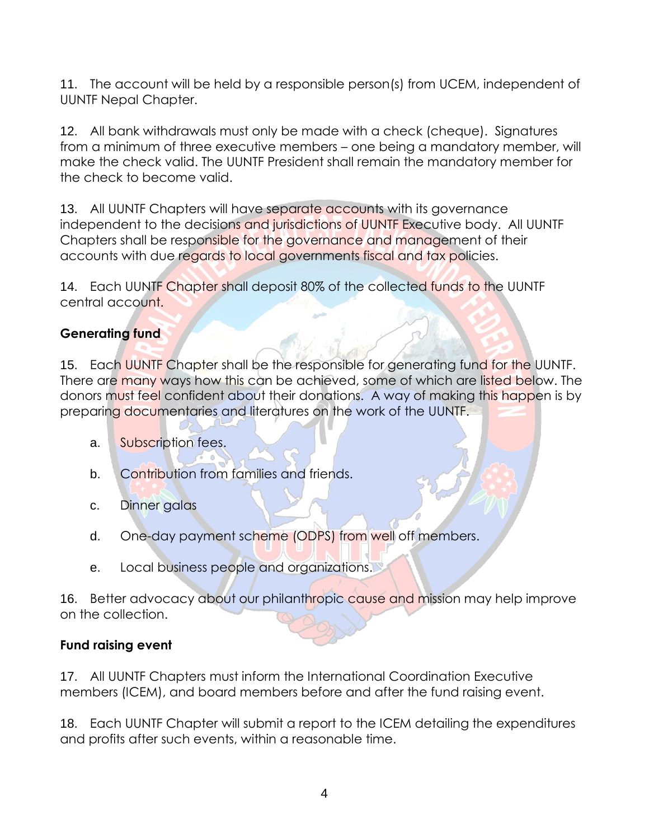11. The account will be held by a responsible person(s) from UCEM, independent of UUNTF Nepal Chapter.

12. All bank withdrawals must only be made with a check (cheque). Signatures from a minimum of three executive members – one being a mandatory member, will make the check valid. The UUNTF President shall remain the mandatory member for the check to become valid.

13. All UUNTF Chapters will have separate accounts with its governance independent to the decisions and jurisdictions of UUNTF Executive body. All UUNTF Chapters shall be responsible for the governance and management of their accounts with due regards to local governments fiscal and tax policies.

14. Each UUNTF Chapter shall deposit 80% of the collected funds to the UUNTF central account.

## **Generating fund**

15. Each UUNTF Chapter shall be the responsible for generating fund for the UUNTF. There are many ways how this can be achieved, some of which are listed below. The donors must feel confident about their donations. A way of making this happen is by preparing documentaries and literatures on the work of the UUNTF.

- a. Subscription fees.
- b. Contribution from families and friends.
- c. Dinner galas
- d. One-day payment scheme (ODPS) from well off members.
- e. Local business people and organizations.

16. Better advocacy about our philanthropic cause and mission may help improve on the collection.

## **Fund raising event**

17. All UUNTF Chapters must inform the International Coordination Executive members (ICEM), and board members before and after the fund raising event.

18. Each UUNTF Chapter will submit a report to the ICEM detailing the expenditures and profits after such events, within a reasonable time.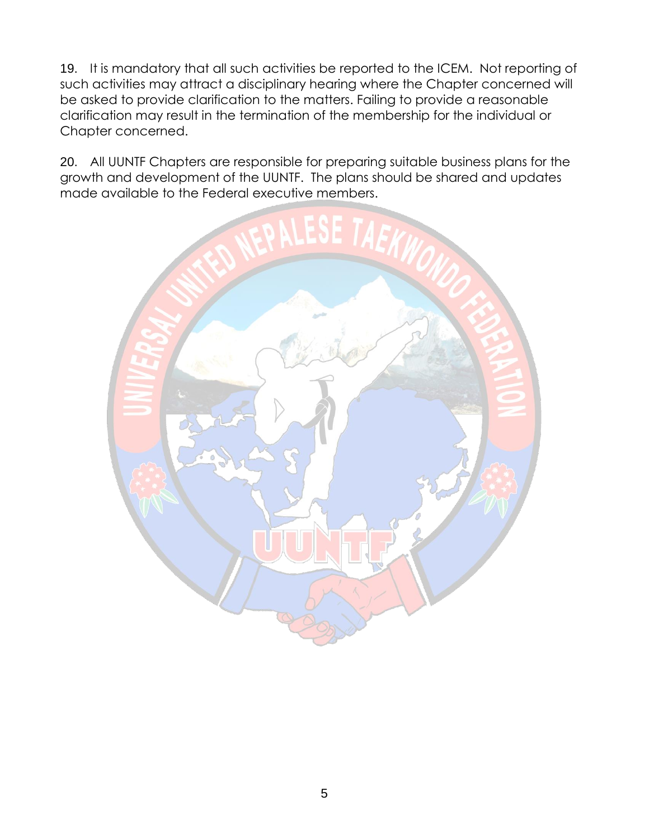19. It is mandatory that all such activities be reported to the ICEM. Not reporting of such activities may attract a disciplinary hearing where the Chapter concerned will be asked to provide clarification to the matters. Failing to provide a reasonable clarification may result in the termination of the membership for the individual or Chapter concerned.

20. All UUNTF Chapters are responsible for preparing suitable business plans for the growth and development of the UUNTF. The plans should be shared and updates made available to the Federal executive members.

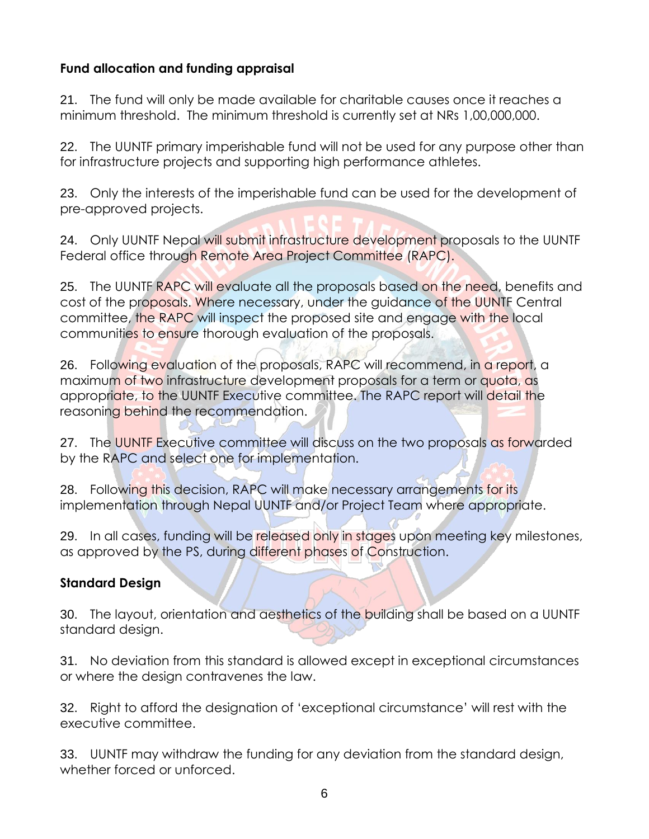### **Fund allocation and funding appraisal**

21. The fund will only be made available for charitable causes once it reaches a minimum threshold. The minimum threshold is currently set at NRs 1,00,000,000.

22. The UUNTF primary imperishable fund will not be used for any purpose other than for infrastructure projects and supporting high performance athletes.

23. Only the interests of the imperishable fund can be used for the development of pre-approved projects.

24. Only UUNTF Nepal will submit infrastructure development proposals to the UUNTF Federal office through Remote Area Project Committee (RAPC).

25. The UUNTF RAPC will evaluate all the proposals based on the need, benefits and cost of the proposals. Where necessary, under the guidance of the UUNTF Central committee, the RAPC will inspect the proposed site and engage with the local communities to ensure thorough evaluation of the proposals.

26. Following evaluation of the proposals, RAPC will recommend, in a report, a maximum of two infrastructure development proposals for a term or quota, as appropriate, to the UUNTF Executive committee. The RAPC report will detail the reasoning behind the recommendation.

27. The UUNTF Executive committee will discuss on the two proposals as forwarded by the RAPC and select one for implementation.

28. Following this decision, RAPC will make necessary arrangements for its implementation through Nepal UUNTF and/or Project Team where appropriate.

29. In all cases, funding will be released only in stages upon meeting key milestones, as approved by the PS, during different phases of Construction.

#### **Standard Design**

30. The layout, orientation and aesthetics of the building shall be based on a UUNTF standard design.

31. No deviation from this standard is allowed except in exceptional circumstances or where the design contravenes the law.

32. Right to afford the designation of 'exceptional circumstance' will rest with the executive committee.

33. UUNTF may withdraw the funding for any deviation from the standard design, whether forced or unforced.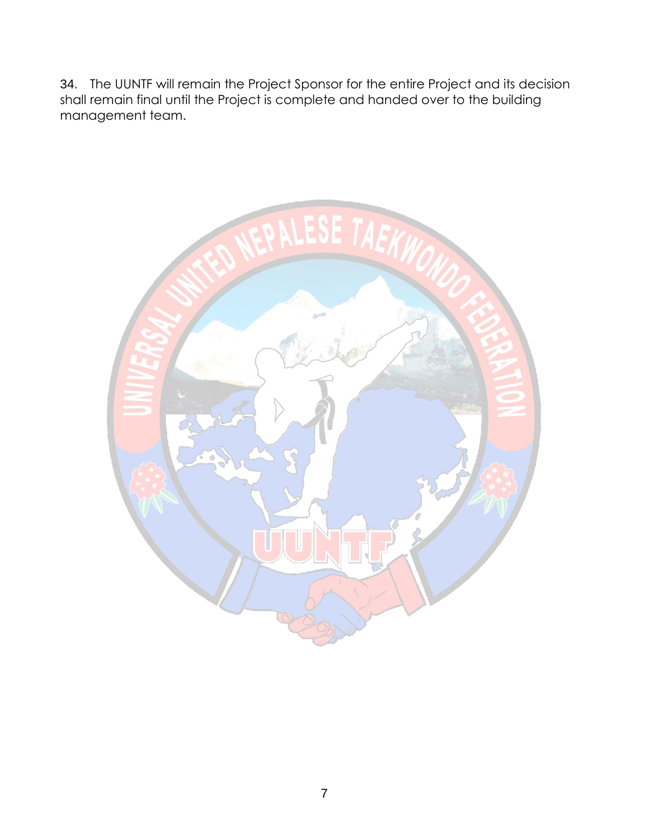34. The UUNTF will remain the Project Sponsor for the entire Project and its decision shall remain final until the Project is complete and handed over to the building management team.

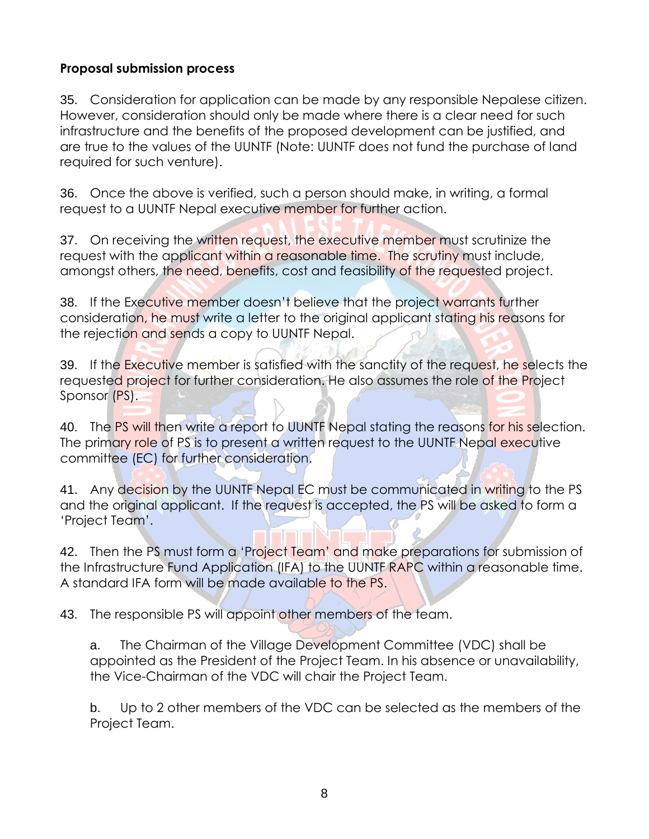#### **Proposal submission process**

35. Consideration for application can be made by any responsible Nepalese citizen. However, consideration should only be made where there is a clear need for such infrastructure and the benefits of the proposed development can be justified, and are true to the values of the UUNTF (Note: UUNTF does not fund the purchase of land required for such venture).

36. Once the above is verified, such a person should make, in writing, a formal request to a UUNTF Nepal executive member for further action.

37. On receiving the written request, the executive member must scrutinize the request with the applicant within a reasonable time. The scrutiny must include, amongst others, the need, benefits, cost and feasibility of the requested project.

38. If the Executive member doesn't believe that the project warrants further consideration, he must write a letter to the original applicant stating his reasons for the rejection and sends a copy to UUNTF Nepal.

39. If the Executive member is satisfied with the sanctity of the request, he selects the requested project for further consideration. He also assumes the role of the Project Sponsor (PS).

40. The PS will then write a report to UUNTF Nepal stating the reasons for his selection. The primary role of PS is to present a written request to the UUNTF Nepal executive committee (EC) for further consideration.

41. Any decision by the UUNTF Nepal EC must be communicated in writing to the PS and the original applicant. If the request is accepted, the PS will be asked to form a 'Project Team'.

42. Then the PS must form a 'Project Team' and make preparations for submission of the Infrastructure Fund Application (IFA) to the UUNTF RAPC within a reasonable time. A standard IFA form will be made available to the PS.

43. The responsible PS will appoint other members of the team.

a. The Chairman of the Village Development Committee (VDC) shall be appointed as the President of the Project Team. In his absence or unavailability, the Vice-Chairman of the VDC will chair the Project Team.

b. Up to 2 other members of the VDC can be selected as the members of the Project Team.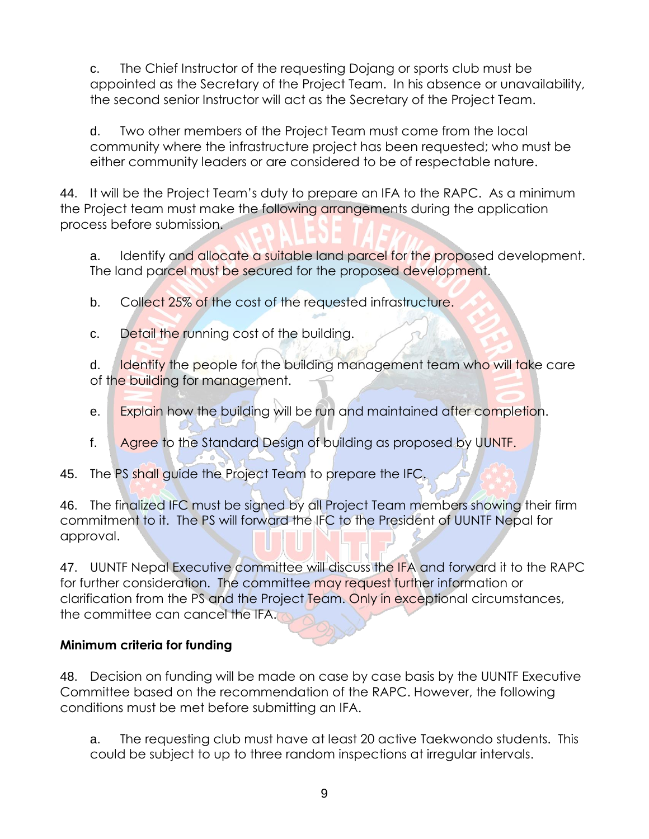c. The Chief Instructor of the requesting Dojang or sports club must be appointed as the Secretary of the Project Team. In his absence or unavailability, the second senior Instructor will act as the Secretary of the Project Team.

d. Two other members of the Project Team must come from the local community where the infrastructure project has been requested; who must be either community leaders or are considered to be of respectable nature.

44. It will be the Project Team's duty to prepare an IFA to the RAPC. As a minimum the Project team must make the following arrangements during the application process before submission.

a. Identify and allocate a suitable land parcel for the proposed development. The land parcel must be secured for the proposed development.

b. Collect 25% of the cost of the requested infrastructure.

c. Detail the running cost of the building.

d. **Identify** the people for the building management team who will take care of the building for management.

- e. Explain how the building will be run and maintained after completion.
- f. Agree to the Standard Design of building as proposed by UUNTF.
- 45. The PS shall guide the Project Team to prepare the IFC.

46. The finalized IFC must be signed by all Project Team members showing their firm commitment to it. The PS will forward the IFC to the President of UUNTF Nepal for approval.

47. UUNTF Nepal Executive committee will discuss the IFA and forward it to the RAPC for further consideration. The committee may request further information or clarification from the PS and the Project Team. Only in exceptional circumstances, the committee can cancel the IFA.

## **Minimum criteria for funding**

48. Decision on funding will be made on case by case basis by the UUNTF Executive Committee based on the recommendation of the RAPC. However, the following conditions must be met before submitting an IFA.

a. The requesting club must have at least 20 active Taekwondo students. This could be subject to up to three random inspections at irregular intervals.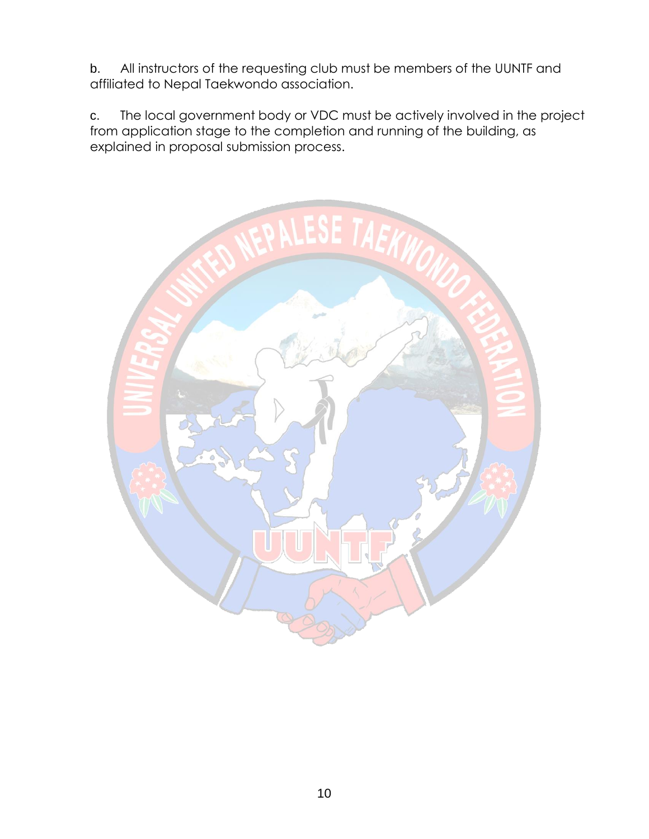b. All instructors of the requesting club must be members of the UUNTF and affiliated to Nepal Taekwondo association.

c. The local government body or VDC must be actively involved in the project from application stage to the completion and running of the building, as explained in proposal submission process.

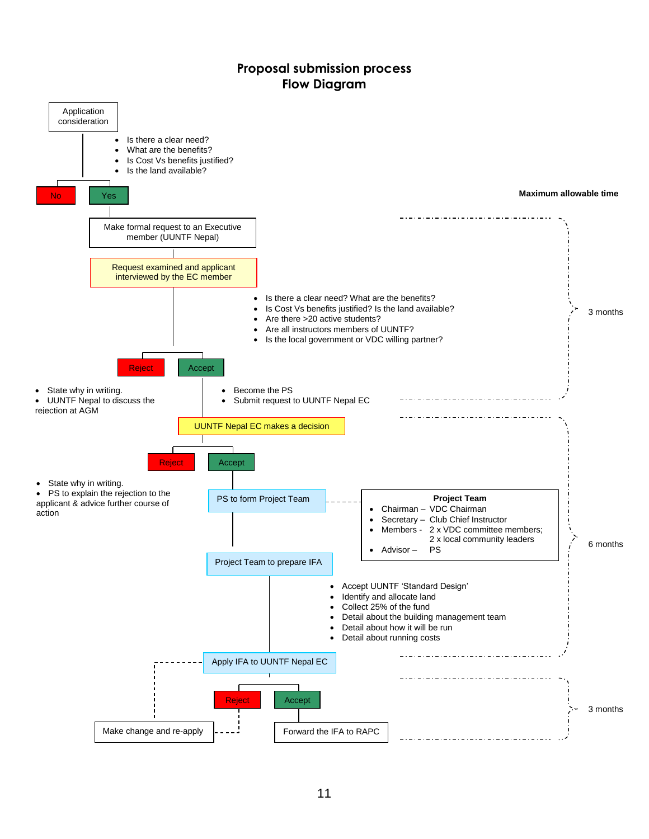#### **Proposal submission process Flow Diagram**

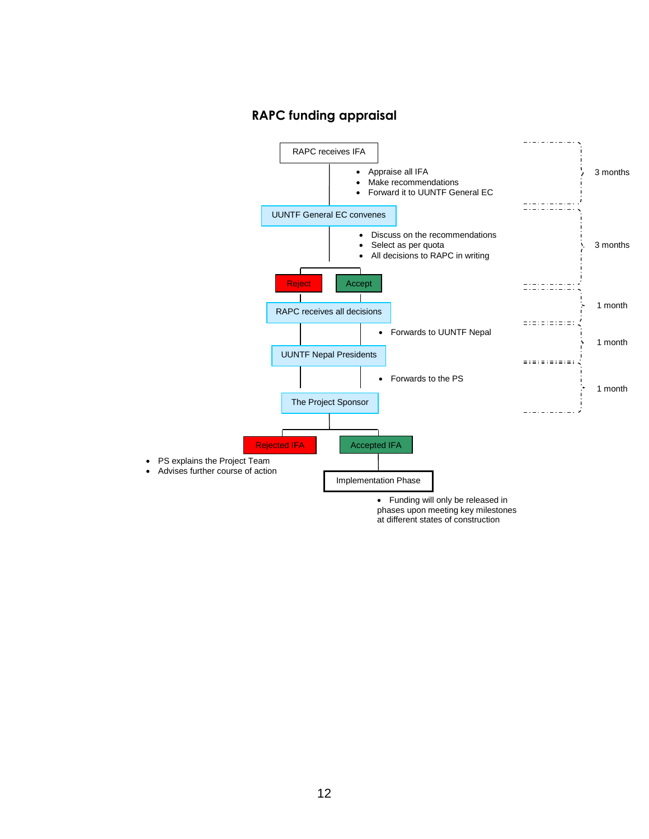#### **RAPC funding appraisal**



12